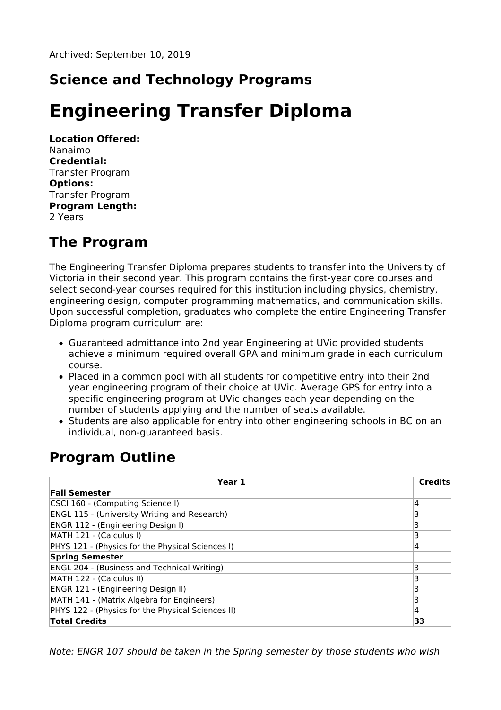## **Science and Technology Programs**

# **Engineering Transfer Diploma**

**Location Offered:** Nanaimo **Credential:** Transfer Program **Options:** Transfer Program **Program Length:** 2 Years

### **The Program**

The Engineering Transfer Diploma prepares students to transfer into the University of Victoria in their second year. This program contains the first-year core courses and select second-year courses required for this institution including physics, chemistry, engineering design, computer programming mathematics, and communication skills. Upon successful completion, graduates who complete the entire Engineering Transfer Diploma program curriculum are:

- Guaranteed admittance into 2nd year Engineering at UVic provided students achieve a minimum required overall GPA and minimum grade in each curriculum course.
- Placed in a common pool with all students for competitive entry into their 2nd year engineering program of their choice at UVic. Average GPS for entry into a specific engineering program at UVic changes each year depending on the number of students applying and the number of seats available.
- Students are also applicable for entry into other engineering schools in BC on an individual, non-guaranteed basis.

### **Program Outline**

| Year 1                                             | <b>Credits</b> |
|----------------------------------------------------|----------------|
| <b>Fall Semester</b>                               |                |
| CSCI 160 - (Computing Science I)                   | 4              |
| ENGL 115 - (University Writing and Research)       | 3              |
| ENGR 112 - (Engineering Design I)                  | 3              |
| MATH 121 - (Calculus I)                            |                |
| PHYS 121 - (Physics for the Physical Sciences I)   | 4              |
| <b>Spring Semester</b>                             |                |
| <b>ENGL 204 - (Business and Technical Writing)</b> | 3              |
| MATH 122 - (Calculus II)                           | 3              |
| ENGR 121 - (Engineering Design II)                 |                |
| MATH 141 - (Matrix Algebra for Engineers)          | 3              |
| PHYS 122 - (Physics for the Physical Sciences II)  | 4              |
| <b>Total Credits</b>                               | 33             |

Note: ENGR 107 should be taken in the Spring semester by those students who wish